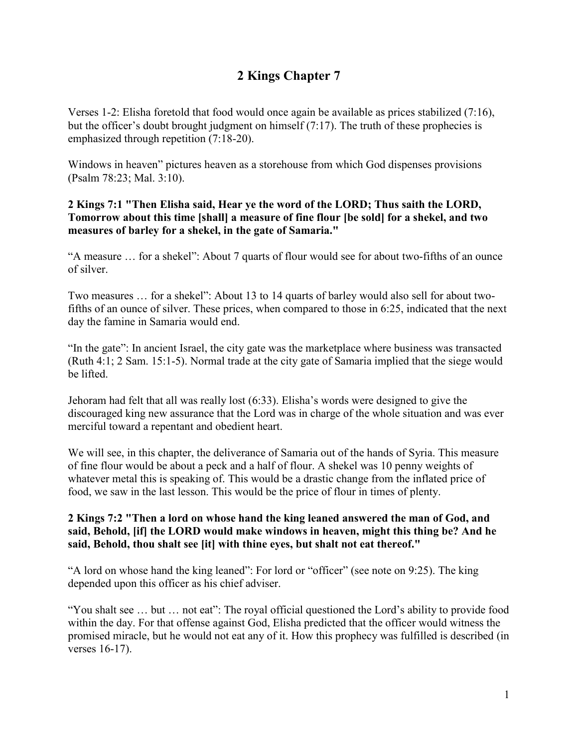# **2 Kings Chapter 7**

Verses 1-2: Elisha foretold that food would once again be available as prices stabilized (7:16), but the officer's doubt brought judgment on himself (7:17). The truth of these prophecies is emphasized through repetition (7:18-20).

Windows in heaven" pictures heaven as a storehouse from which God dispenses provisions (Psalm 78:23; Mal. 3:10).

### **2 Kings 7:1 "Then Elisha said, Hear ye the word of the LORD; Thus saith the LORD, Tomorrow about this time [shall] a measure of fine flour [be sold] for a shekel, and two measures of barley for a shekel, in the gate of Samaria."**

"A measure … for a shekel": About 7 quarts of flour would see for about two-fifths of an ounce of silver.

Two measures … for a shekel": About 13 to 14 quarts of barley would also sell for about twofifths of an ounce of silver. These prices, when compared to those in 6:25, indicated that the next day the famine in Samaria would end.

"In the gate": In ancient Israel, the city gate was the marketplace where business was transacted (Ruth 4:1; 2 Sam. 15:1-5). Normal trade at the city gate of Samaria implied that the siege would be lifted.

Jehoram had felt that all was really lost (6:33). Elisha's words were designed to give the discouraged king new assurance that the Lord was in charge of the whole situation and was ever merciful toward a repentant and obedient heart.

We will see, in this chapter, the deliverance of Samaria out of the hands of Syria. This measure of fine flour would be about a peck and a half of flour. A shekel was 10 penny weights of whatever metal this is speaking of. This would be a drastic change from the inflated price of food, we saw in the last lesson. This would be the price of flour in times of plenty.

### **2 Kings 7:2 "Then a lord on whose hand the king leaned answered the man of God, and said, Behold, [if] the LORD would make windows in heaven, might this thing be? And he said, Behold, thou shalt see [it] with thine eyes, but shalt not eat thereof."**

"A lord on whose hand the king leaned": For lord or "officer" (see note on 9:25). The king depended upon this officer as his chief adviser.

"You shalt see … but … not eat": The royal official questioned the Lord's ability to provide food within the day. For that offense against God, Elisha predicted that the officer would witness the promised miracle, but he would not eat any of it. How this prophecy was fulfilled is described (in verses 16-17).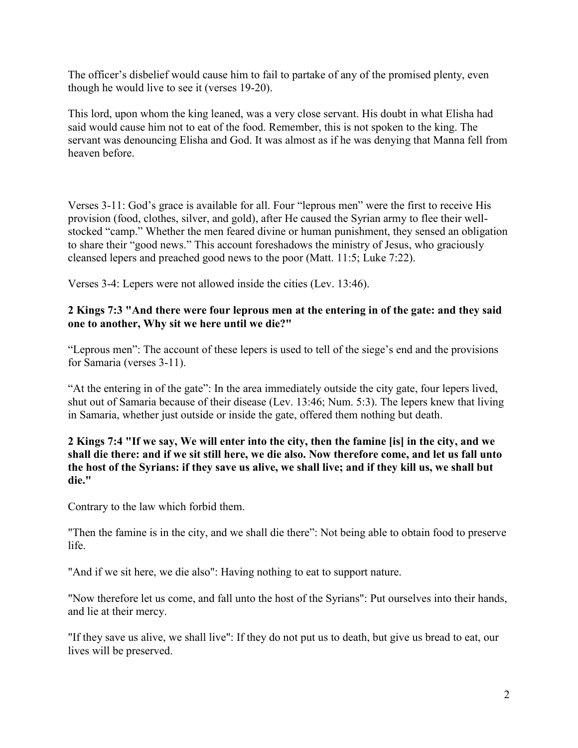The officer's disbelief would cause him to fail to partake of any of the promised plenty, even though he would live to see it (verses 19-20).

This lord, upon whom the king leaned, was a very close servant. His doubt in what Elisha had said would cause him not to eat of the food. Remember, this is not spoken to the king. The servant was denouncing Elisha and God. It was almost as if he was denying that Manna fell from heaven before.

Verses 3-11: God's grace is available for all. Four "leprous men" were the first to receive His provision (food, clothes, silver, and gold), after He caused the Syrian army to flee their wellstocked "camp." Whether the men feared divine or human punishment, they sensed an obligation to share their "good news." This account foreshadows the ministry of Jesus, who graciously cleansed lepers and preached good news to the poor (Matt. 11:5; Luke 7:22).

Verses 3-4: Lepers were not allowed inside the cities (Lev. 13:46).

### **2 Kings 7:3 "And there were four leprous men at the entering in of the gate: and they said one to another, Why sit we here until we die?"**

"Leprous men": The account of these lepers is used to tell of the siege's end and the provisions for Samaria (verses 3-11).

"At the entering in of the gate": In the area immediately outside the city gate, four lepers lived, shut out of Samaria because of their disease (Lev. 13:46; Num. 5:3). The lepers knew that living in Samaria, whether just outside or inside the gate, offered them nothing but death.

### **2 Kings 7:4 "If we say, We will enter into the city, then the famine [is] in the city, and we shall die there: and if we sit still here, we die also. Now therefore come, and let us fall unto the host of the Syrians: if they save us alive, we shall live; and if they kill us, we shall but die."**

Contrary to the law which forbid them.

"Then the famine is in the city, and we shall die there": Not being able to obtain food to preserve life.

"And if we sit here, we die also": Having nothing to eat to support nature.

"Now therefore let us come, and fall unto the host of the Syrians": Put ourselves into their hands, and lie at their mercy.

"If they save us alive, we shall live": If they do not put us to death, but give us bread to eat, our lives will be preserved.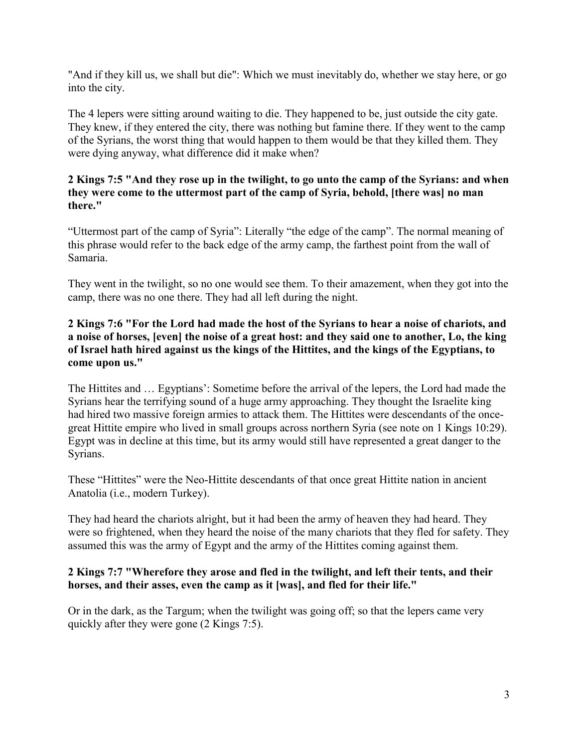"And if they kill us, we shall but die": Which we must inevitably do, whether we stay here, or go into the city.

The 4 lepers were sitting around waiting to die. They happened to be, just outside the city gate. They knew, if they entered the city, there was nothing but famine there. If they went to the camp of the Syrians, the worst thing that would happen to them would be that they killed them. They were dying anyway, what difference did it make when?

### **2 Kings 7:5 "And they rose up in the twilight, to go unto the camp of the Syrians: and when they were come to the uttermost part of the camp of Syria, behold, [there was] no man there."**

"Uttermost part of the camp of Syria": Literally "the edge of the camp". The normal meaning of this phrase would refer to the back edge of the army camp, the farthest point from the wall of Samaria.

They went in the twilight, so no one would see them. To their amazement, when they got into the camp, there was no one there. They had all left during the night.

### **2 Kings 7:6 "For the Lord had made the host of the Syrians to hear a noise of chariots, and a noise of horses, [even] the noise of a great host: and they said one to another, Lo, the king of Israel hath hired against us the kings of the Hittites, and the kings of the Egyptians, to come upon us."**

The Hittites and … Egyptians': Sometime before the arrival of the lepers, the Lord had made the Syrians hear the terrifying sound of a huge army approaching. They thought the Israelite king had hired two massive foreign armies to attack them. The Hittites were descendants of the oncegreat Hittite empire who lived in small groups across northern Syria (see note on 1 Kings 10:29). Egypt was in decline at this time, but its army would still have represented a great danger to the Syrians.

These "Hittites" were the Neo-Hittite descendants of that once great Hittite nation in ancient Anatolia (i.e., modern Turkey).

They had heard the chariots alright, but it had been the army of heaven they had heard. They were so frightened, when they heard the noise of the many chariots that they fled for safety. They assumed this was the army of Egypt and the army of the Hittites coming against them.

### **2 Kings 7:7 "Wherefore they arose and fled in the twilight, and left their tents, and their horses, and their asses, even the camp as it [was], and fled for their life."**

Or in the dark, as the Targum; when the twilight was going off; so that the lepers came very quickly after they were gone (2 Kings 7:5).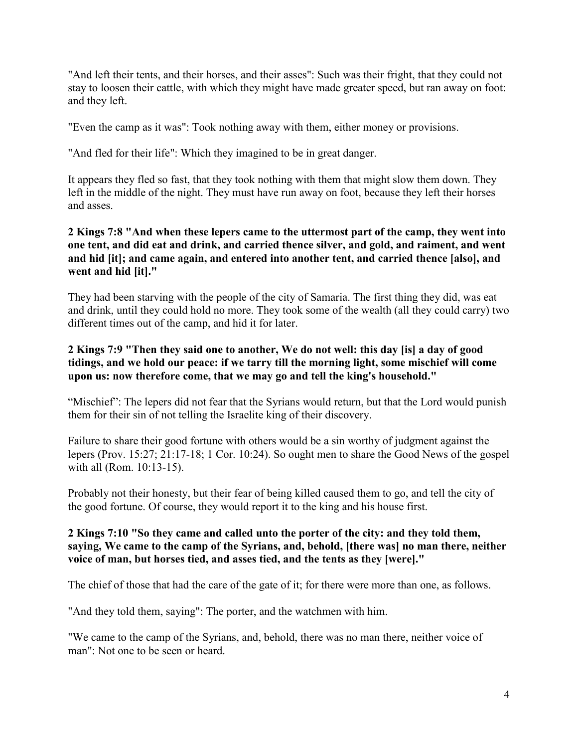"And left their tents, and their horses, and their asses": Such was their fright, that they could not stay to loosen their cattle, with which they might have made greater speed, but ran away on foot: and they left.

"Even the camp as it was": Took nothing away with them, either money or provisions.

"And fled for their life": Which they imagined to be in great danger.

It appears they fled so fast, that they took nothing with them that might slow them down. They left in the middle of the night. They must have run away on foot, because they left their horses and asses.

### **2 Kings 7:8 "And when these lepers came to the uttermost part of the camp, they went into one tent, and did eat and drink, and carried thence silver, and gold, and raiment, and went and hid [it]; and came again, and entered into another tent, and carried thence [also], and went and hid [it]."**

They had been starving with the people of the city of Samaria. The first thing they did, was eat and drink, until they could hold no more. They took some of the wealth (all they could carry) two different times out of the camp, and hid it for later.

### **2 Kings 7:9 "Then they said one to another, We do not well: this day [is] a day of good tidings, and we hold our peace: if we tarry till the morning light, some mischief will come upon us: now therefore come, that we may go and tell the king's household."**

"Mischief": The lepers did not fear that the Syrians would return, but that the Lord would punish them for their sin of not telling the Israelite king of their discovery.

Failure to share their good fortune with others would be a sin worthy of judgment against the lepers (Prov. 15:27; 21:17-18; 1 Cor. 10:24). So ought men to share the Good News of the gospel with all (Rom. 10:13-15).

Probably not their honesty, but their fear of being killed caused them to go, and tell the city of the good fortune. Of course, they would report it to the king and his house first.

### **2 Kings 7:10 "So they came and called unto the porter of the city: and they told them, saying, We came to the camp of the Syrians, and, behold, [there was] no man there, neither voice of man, but horses tied, and asses tied, and the tents as they [were]."**

The chief of those that had the care of the gate of it; for there were more than one, as follows.

"And they told them, saying": The porter, and the watchmen with him.

"We came to the camp of the Syrians, and, behold, there was no man there, neither voice of man": Not one to be seen or heard.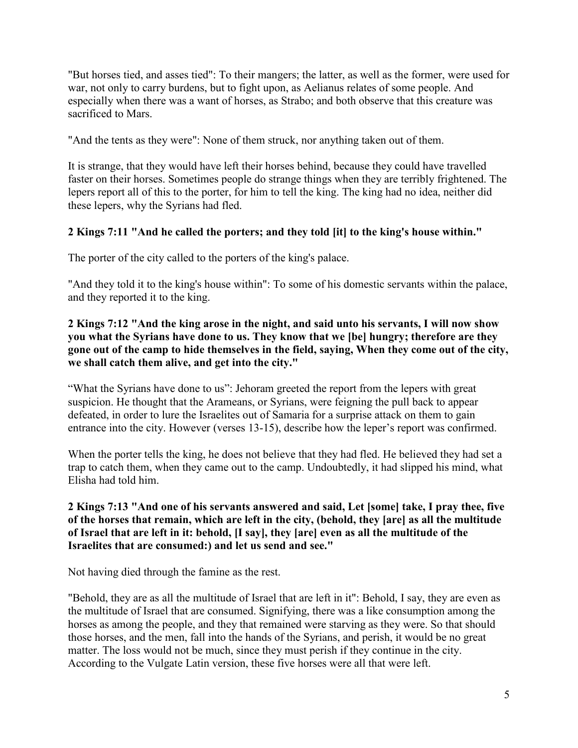"But horses tied, and asses tied": To their mangers; the latter, as well as the former, were used for war, not only to carry burdens, but to fight upon, as Aelianus relates of some people. And especially when there was a want of horses, as Strabo; and both observe that this creature was sacrificed to Mars.

"And the tents as they were": None of them struck, nor anything taken out of them.

It is strange, that they would have left their horses behind, because they could have travelled faster on their horses. Sometimes people do strange things when they are terribly frightened. The lepers report all of this to the porter, for him to tell the king. The king had no idea, neither did these lepers, why the Syrians had fled.

### **2 Kings 7:11 "And he called the porters; and they told [it] to the king's house within."**

The porter of the city called to the porters of the king's palace.

"And they told it to the king's house within": To some of his domestic servants within the palace, and they reported it to the king.

### **2 Kings 7:12 "And the king arose in the night, and said unto his servants, I will now show you what the Syrians have done to us. They know that we [be] hungry; therefore are they gone out of the camp to hide themselves in the field, saying, When they come out of the city, we shall catch them alive, and get into the city."**

"What the Syrians have done to us": Jehoram greeted the report from the lepers with great suspicion. He thought that the Arameans, or Syrians, were feigning the pull back to appear defeated, in order to lure the Israelites out of Samaria for a surprise attack on them to gain entrance into the city. However (verses 13-15), describe how the leper's report was confirmed.

When the porter tells the king, he does not believe that they had fled. He believed they had set a trap to catch them, when they came out to the camp. Undoubtedly, it had slipped his mind, what Elisha had told him.

### **2 Kings 7:13 "And one of his servants answered and said, Let [some] take, I pray thee, five of the horses that remain, which are left in the city, (behold, they [are] as all the multitude of Israel that are left in it: behold, [I say], they [are] even as all the multitude of the Israelites that are consumed:) and let us send and see."**

Not having died through the famine as the rest.

"Behold, they are as all the multitude of Israel that are left in it": Behold, I say, they are even as the multitude of Israel that are consumed. Signifying, there was a like consumption among the horses as among the people, and they that remained were starving as they were. So that should those horses, and the men, fall into the hands of the Syrians, and perish, it would be no great matter. The loss would not be much, since they must perish if they continue in the city. According to the Vulgate Latin version, these five horses were all that were left.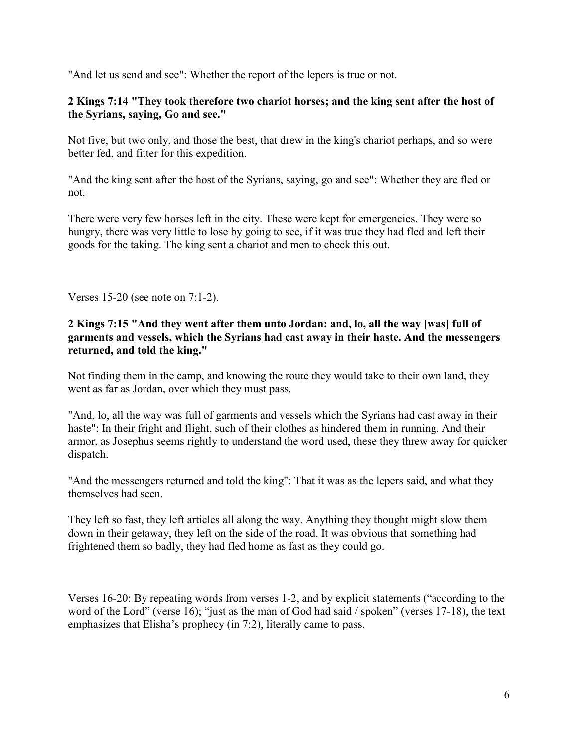"And let us send and see": Whether the report of the lepers is true or not.

### **2 Kings 7:14 "They took therefore two chariot horses; and the king sent after the host of the Syrians, saying, Go and see."**

Not five, but two only, and those the best, that drew in the king's chariot perhaps, and so were better fed, and fitter for this expedition.

"And the king sent after the host of the Syrians, saying, go and see": Whether they are fled or not.

There were very few horses left in the city. These were kept for emergencies. They were so hungry, there was very little to lose by going to see, if it was true they had fled and left their goods for the taking. The king sent a chariot and men to check this out.

Verses 15-20 (see note on 7:1-2).

### **2 Kings 7:15 "And they went after them unto Jordan: and, lo, all the way [was] full of garments and vessels, which the Syrians had cast away in their haste. And the messengers returned, and told the king."**

Not finding them in the camp, and knowing the route they would take to their own land, they went as far as Jordan, over which they must pass.

"And, lo, all the way was full of garments and vessels which the Syrians had cast away in their haste": In their fright and flight, such of their clothes as hindered them in running. And their armor, as Josephus seems rightly to understand the word used, these they threw away for quicker dispatch.

"And the messengers returned and told the king": That it was as the lepers said, and what they themselves had seen.

They left so fast, they left articles all along the way. Anything they thought might slow them down in their getaway, they left on the side of the road. It was obvious that something had frightened them so badly, they had fled home as fast as they could go.

Verses 16-20: By repeating words from verses 1-2, and by explicit statements ("according to the word of the Lord" (verse 16); "just as the man of God had said / spoken" (verses 17-18), the text emphasizes that Elisha's prophecy (in 7:2), literally came to pass.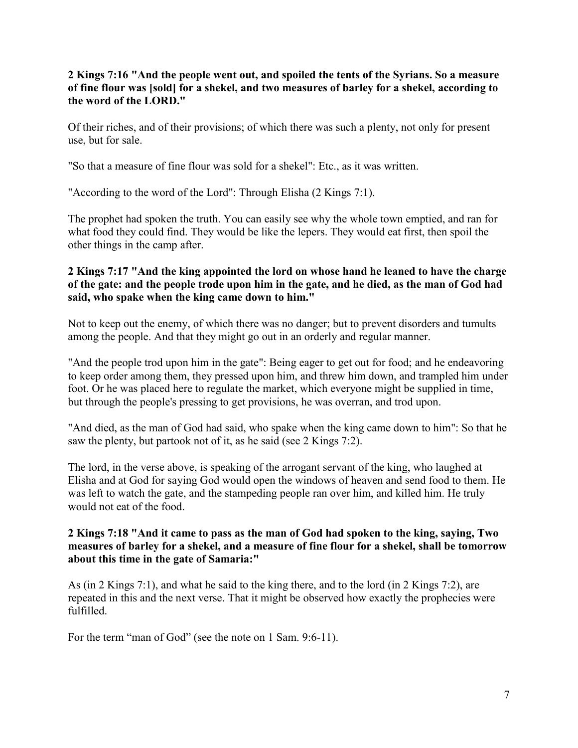### **2 Kings 7:16 "And the people went out, and spoiled the tents of the Syrians. So a measure of fine flour was [sold] for a shekel, and two measures of barley for a shekel, according to the word of the LORD."**

Of their riches, and of their provisions; of which there was such a plenty, not only for present use, but for sale.

"So that a measure of fine flour was sold for a shekel": Etc., as it was written.

"According to the word of the Lord": Through Elisha (2 Kings 7:1).

The prophet had spoken the truth. You can easily see why the whole town emptied, and ran for what food they could find. They would be like the lepers. They would eat first, then spoil the other things in the camp after.

### **2 Kings 7:17 "And the king appointed the lord on whose hand he leaned to have the charge of the gate: and the people trode upon him in the gate, and he died, as the man of God had said, who spake when the king came down to him."**

Not to keep out the enemy, of which there was no danger; but to prevent disorders and tumults among the people. And that they might go out in an orderly and regular manner.

"And the people trod upon him in the gate": Being eager to get out for food; and he endeavoring to keep order among them, they pressed upon him, and threw him down, and trampled him under foot. Or he was placed here to regulate the market, which everyone might be supplied in time, but through the people's pressing to get provisions, he was overran, and trod upon.

"And died, as the man of God had said, who spake when the king came down to him": So that he saw the plenty, but partook not of it, as he said (see 2 Kings 7:2).

The lord, in the verse above, is speaking of the arrogant servant of the king, who laughed at Elisha and at God for saying God would open the windows of heaven and send food to them. He was left to watch the gate, and the stampeding people ran over him, and killed him. He truly would not eat of the food.

### **2 Kings 7:18 "And it came to pass as the man of God had spoken to the king, saying, Two measures of barley for a shekel, and a measure of fine flour for a shekel, shall be tomorrow about this time in the gate of Samaria:"**

As (in 2 Kings 7:1), and what he said to the king there, and to the lord (in 2 Kings 7:2), are repeated in this and the next verse. That it might be observed how exactly the prophecies were fulfilled.

For the term "man of God" (see the note on 1 Sam. 9:6-11).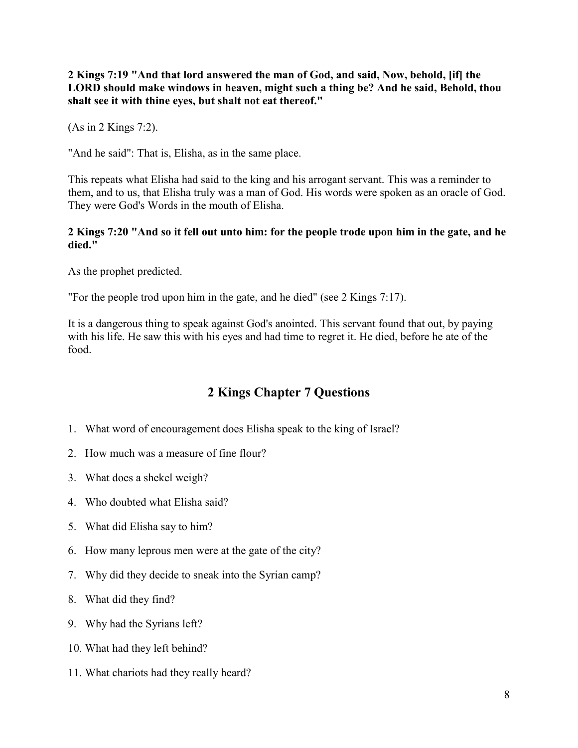**2 Kings 7:19 "And that lord answered the man of God, and said, Now, behold, [if] the LORD should make windows in heaven, might such a thing be? And he said, Behold, thou shalt see it with thine eyes, but shalt not eat thereof."**

(As in 2 Kings 7:2).

"And he said": That is, Elisha, as in the same place.

This repeats what Elisha had said to the king and his arrogant servant. This was a reminder to them, and to us, that Elisha truly was a man of God. His words were spoken as an oracle of God. They were God's Words in the mouth of Elisha.

### **2 Kings 7:20 "And so it fell out unto him: for the people trode upon him in the gate, and he died."**

As the prophet predicted.

"For the people trod upon him in the gate, and he died" (see 2 Kings 7:17).

It is a dangerous thing to speak against God's anointed. This servant found that out, by paying with his life. He saw this with his eyes and had time to regret it. He died, before he ate of the food.

## **2 Kings Chapter 7 Questions**

- 1. What word of encouragement does Elisha speak to the king of Israel?
- 2. How much was a measure of fine flour?
- 3. What does a shekel weigh?
- 4. Who doubted what Elisha said?
- 5. What did Elisha say to him?
- 6. How many leprous men were at the gate of the city?
- 7. Why did they decide to sneak into the Syrian camp?
- 8. What did they find?
- 9. Why had the Syrians left?
- 10. What had they left behind?
- 11. What chariots had they really heard?